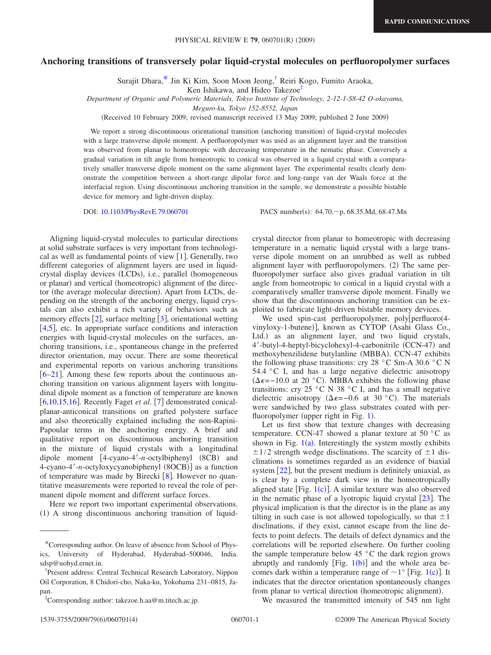## **Anchoring transitions of transversely polar liquid-crystal molecules on perfluoropolymer surfaces**

Surajit Dhara[,\\*](#page-0-0) Jin Ki Kim, Soon Moon Jeong[,†](#page-0-1) Reiri Kogo, Fumito Araoka,

Ken Ishikawa, and Hideo Takezoe<sup>‡</sup>

*Department of Organic and Polymeric Materials, Tokyo Institute of Technology, 2-12-1-S8-42 O-okayama,*

*Meguro-ku, Tokyo 152-8552, Japan*

(Received 10 February 2009; revised manuscript received 13 May 2009; published 2 June 2009)

We report a strong discontinuous orientational transition (anchoring transition) of liquid-crystal molecules with a large transverse dipole moment. A perfluoropolymer was used as an alignment layer and the transition was observed from planar to homeotropic with decreasing temperature in the nematic phase. Conversely a gradual variation in tilt angle from homeotropic to conical was observed in a liquid crystal with a comparatively smaller transverse dipole moment on the same alignment layer. The experimental results clearly demonstrate the competition between a short-range dipolar force and long-range van der Waals force at the interfacial region. Using discontinuous anchoring transition in the sample, we demonstrate a possible bistable device for memory and light-driven display.

DOI: [10.1103/PhysRevE.79.060701](http://dx.doi.org/10.1103/PhysRevE.79.060701)

PACS number(s):  $64.70 - p$ ,  $68.35$ .Md,  $68.47$ .Mn

Aligning liquid-crystal molecules to particular directions at solid substrate surfaces is very important from technological as well as fundamental points of view  $[1]$  $[1]$  $[1]$ . Generally, two different categories of alignment layers are used in liquidcrystal display devices (LCDs), i.e., parallel (homogeneous or planar) and vertical (homeotropic) alignment of the director (the average molecular direction). Apart from LCDs, depending on the strength of the anchoring energy, liquid crystals can also exhibit a rich variety of behaviors such as memory effects  $\lceil 2 \rceil$  $\lceil 2 \rceil$  $\lceil 2 \rceil$ , surface melting  $\lceil 3 \rceil$  $\lceil 3 \rceil$  $\lceil 3 \rceil$ , orientational wetting  $[4,5]$  $[4,5]$  $[4,5]$  $[4,5]$ , etc. In appropriate surface conditions and interaction energies with liquid-crystal molecules on the surfaces, anchoring transitions, i.e., spontaneous change in the preferred director orientation, may occur. There are some theoretical and experimental reports on various anchoring transitions  $[6-21]$  $[6-21]$  $[6-21]$ . Among these few reports about the continuous anchoring transition on various alignment layers with longitudinal dipole moment as a function of temperature are known [ $6,10,15,16$  $6,10,15,16$  $6,10,15,16$  $6,10,15,16$ ]. Recently Faget *et al.* [[7](#page-3-10)] demonstrated conicalplanar-anticonical transitions on grafted polystere surface and also theoretically explained including the non-Rapini-Papoular terms in the anchoring energy. A brief and qualitative report on discontinuous anchoring transition in the mixture of liquid crystals with a longitudinal dipole moment [4-cyano-4'-n-octylbiphenyl (8CB) and 4-cyano-4'-n-octyloxycyanobiphenyl (8OCB)] as a function of temperature was made by Birecki  $\lceil 8 \rceil$  $\lceil 8 \rceil$  $\lceil 8 \rceil$ . However no quantitative measurements were reported to reveal the role of permanent dipole moment and different surface forces.

Here we report two important experimental observations. (1) A strong discontinuous anchoring transition of liquidcrystal director from planar to homeotropic with decreasing temperature in a nematic liquid crystal with a large transverse dipole moment on an unrubbed as well as rubbed alignment layer with perfluoropolymers. (2) The same perfluoropolymer surface also gives gradual variation in tilt angle from homeotropic to conical in a liquid crystal with a comparatively smaller transverse dipole moment. Finally we show that the discontinuous anchoring transition can be exploited to fabricate light-driven bistable memory devices.

We used spin-cast perfluoropolymer, poly[perfluoro(4vinyloxy-1-butene)], known as CYTOP (Asahi Glass Co., Ltd.) as an alignment layer, and two liquid crystals, 4'-butyl-4-heptyl-bicyclohexyl-4-carbonitrile (CCN-47) and methoxybenzilidene butylanline (MBBA). CCN-47 exhibits the following phase transitions: cry 28  $\degree$ C Sm-A 30.6  $\degree$ C N 54.4 °C I, and has a large negative dielectric anisotropy  $(Δε=-10.0$  at 20 °C). MBBA exhibits the following phase transitions: cry 25 °C N 38 °C I, and has a small negative dielectric anisotropy ( $\Delta \epsilon = -0.6$  at 30 °C). The materials were sandwiched by two glass substrates coated with per-fluoropolymer (upper right in Fig. [1](#page-1-0)).

Let us first show that texture changes with decreasing temperature. CCN-47 showed a planar texture at 50 °C as shown in Fig.  $1(a)$  $1(a)$ . Interestingly the system mostly exhibits  $\pm$ 1/2 strength wedge disclinations. The scarcity of  $\pm$ 1 disclinations is sometimes regarded as an evidence of biaxial system  $\lceil 22 \rceil$  $\lceil 22 \rceil$  $\lceil 22 \rceil$ , but the present medium is definitely uniaxial, as is clear by a complete dark view in the homeotropically aligned state [Fig.  $1(c)$  $1(c)$ ]. A similar texture was also observed in the nematic phase of a lyotropic liquid crystal  $\lceil 23 \rceil$  $\lceil 23 \rceil$  $\lceil 23 \rceil$ . The physical implication is that the director is in the plane as any tilting in such case is not allowed topologically, so that  $\pm 1$ disclinations, if they exist, cannot escape from the line defects to point defects. The details of defect dynamics and the correlations will be reported elsewhere. On further cooling the sample temperature below 45 $\degree$ C the dark region grows abruptly and randomly [Fig.  $1(b)$  $1(b)$ ] and the whole area becomes dark within a temperature range of  $\sim$  [1](#page-1-0)° [Fig. 1(c)]. It indicates that the director orientation spontaneously changes from planar to vertical direction (homeotropic alignment).

We measured the transmitted intensity of 545 nm light

<span id="page-0-0"></span><sup>\*</sup>Corresponding author. On leave of absence from School of Physics, University of Hyderabad, Hyderabad–500046, India. sdsp@uohyd.ernet.in.

<span id="page-0-1"></span><sup>†</sup> Present address: Central Technical Research Laboratory, Nippon Oil Corporation, 8 Chidori-cho, Naka-ku, Yokohama 231–0815, Japan.

<span id="page-0-2"></span><sup>‡</sup> Corresponding author: takezoe.h.aa@m.titech.ac.jp.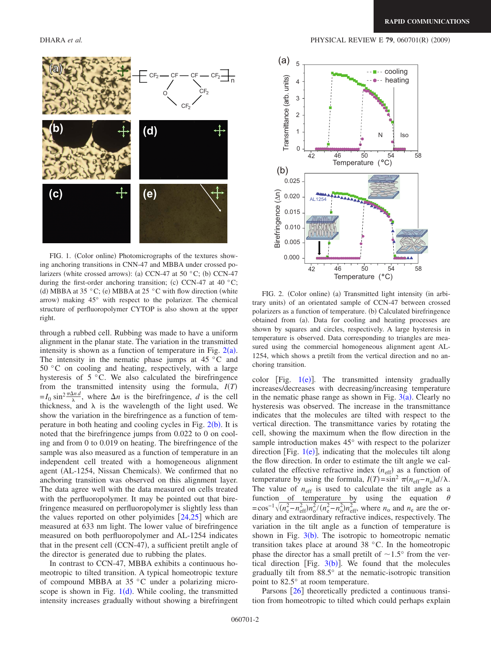<span id="page-1-0"></span>

FIG. 1. (Color online) Photomicrographs of the textures showing anchoring transitions in CNN-47 and MBBA under crossed polarizers (white crossed arrows): (a) CCN-47 at 50  $^{\circ}$ C; (b) CCN-47 during the first-order anchoring transition; (c) CCN-47 at 40  $^{\circ}$ C; (d) MBBA at 35 °C; (e) MBBA at 25 °C with flow direction (white arrow) making 45° with respect to the polarizer. The chemical structure of perfluoropolymer CYTOP is also shown at the upper right.

through a rubbed cell. Rubbing was made to have a uniform alignment in the planar state. The variation in the transmitted intensity is shown as a function of temperature in Fig.  $2(a)$  $2(a)$ . The intensity in the nematic phase jumps at  $45\degree$ C and 50 °C on cooling and heating, respectively, with a large hysteresis of 5 °C. We also calculated the birefringence from the transmitted intensity using the formula, *IT*-  $=I_0 \sin^2 \frac{\pi \Delta n d}{\lambda}$ , where  $\Delta n$  is the birefringence, *d* is the cell thickness, and  $\lambda$  is the wavelength of the light used. We show the variation in the birefringence as a function of temperature in both heating and cooling cycles in Fig.  $2(b)$  $2(b)$ . It is noted that the birefringence jumps from 0.022 to 0 on cooling and from 0 to 0.019 on heating. The birefringence of the sample was also measured as a function of temperature in an independent cell treated with a homogeneous alignment agent (AL-1254, Nissan Chemicals). We confirmed that no anchoring transition was observed on this alignment layer. The data agree well with the data measured on cells treated with the perfluoropolymer. It may be pointed out that birefringence measured on perfluoropolymer is slightly less than the values reported on other polyimides  $[24,25]$  $[24,25]$  $[24,25]$  $[24,25]$  which are measured at 633 nm light. The lower value of birefringence measured on both perfluoropolymer and AL-1254 indicates that in the present cell (CCN-47), a sufficient pretilt angle of the director is generated due to rubbing the plates.

In contrast to CCN-47, MBBA exhibits a continuous homeotropic to tilted transition. A typical homeotropic texture of compound MBBA at 35 °C under a polarizing microscope is shown in Fig.  $1(d)$  $1(d)$ . While cooling, the transmitted intensity increases gradually without showing a birefringent

<span id="page-1-1"></span>

FIG. 2. (Color online) (a) Transmitted light intensity (in arbitrary units) of an orientated sample of CCN-47 between crossed polarizers as a function of temperature. (b) Calculated birefringence obtained from (a). Data for cooling and heating processes are shown by squares and circles, respectively. A large hysteresis in temperature is observed. Data corresponding to triangles are measured using the commercial homogeneous alignment agent AL-1254, which shows a pretilt from the vertical direction and no anchoring transition.

color [Fig.  $1(e)$  $1(e)$ ]. The transmitted intensity gradually increases/decreases with decreasing/increasing temperature in the nematic phase range as shown in Fig.  $3(a)$  $3(a)$ . Clearly no hysteresis was observed. The increase in the transmittance indicates that the molecules are tilted with respect to the vertical direction. The transmittance varies by rotating the cell, showing the maximum when the flow direction in the sample introduction makes 45° with respect to the polarizer direction [Fig.  $1(e)$  $1(e)$ ], indicating that the molecules tilt along the flow direction. In order to estimate the tilt angle we calculated the effective refractive index  $(n_{\text{eff}})$  as a function of temperature by using the formula,  $I(T) = \sin^2 \pi (n_{\text{eff}} - n_o) d / \lambda$ . The value of  $n_{\text{eff}}$  is used to calculate the tilt angle as a function of temperature by using the equation  $\theta$  $=$ cos<sup>-1</sup> $\sqrt{(n_e^2 - n_{\text{eff}}^2)n_o^2/(n_e^2 - n_o^2)n_{\text{eff}}^2}$ , where *n*<sub>o</sub> and *n*<sub>e</sub> are the ordinary and extraordinary refractive indices, respectively. The variation in the tilt angle as a function of temperature is shown in Fig.  $3(b)$  $3(b)$ . The isotropic to homeotropic nematic transition takes place at around 38 °C. In the homeotropic phase the director has a small pretilt of  $\sim 1.5^{\circ}$  from the vertical direction [Fig.  $3(b)$  $3(b)$ ]. We found that the molecules gradually tilt from 88.5° at the nematic-isotropic transition point to 82.5° at room temperature.

Parsons  $\lceil 26 \rceil$  $\lceil 26 \rceil$  $\lceil 26 \rceil$  theoretically predicted a continuous transition from homeotropic to tilted which could perhaps explain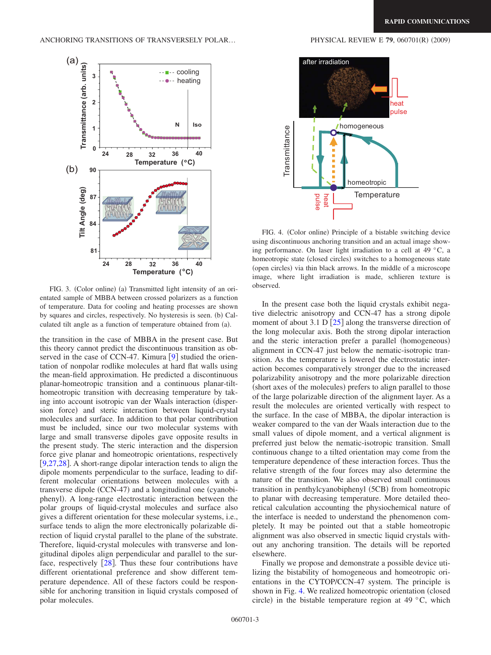$(2009)$ 

<span id="page-2-0"></span>Transmittance (arb. units)  $\overline{a}$ **Transmittance (arb. units)** ■-- cooling<br>●-- heating **3** heating **2 N Iso 1 0 24 28 32 36 40** Temperature (°C) **90**  $\ddot{\phantom{0}}$ **Tilt Angle (deg) Tilt Angle (deg) 87 84 81 24 28 32 36 40 Temperature ( C)**

FIG. 3. (Color online) (a) Transmitted light intensity of an orientated sample of MBBA between crossed polarizers as a function of temperature. Data for cooling and heating processes are shown by squares and circles, respectively. No hysteresis is seen. (b) Calculated tilt angle as a function of temperature obtained from (a).

the transition in the case of MBBA in the present case. But this theory cannot predict the discontinuous transition as observed in the case of CCN-47. Kimura  $[9]$  $[9]$  $[9]$  studied the orientation of nonpolar rodlike molecules at hard flat walls using the mean-field approximation. He predicted a discontinuous planar-homeotropic transition and a continuous planar-tilthomeotropic transition with decreasing temperature by taking into account isotropic van der Waals interaction (dispersion force) and steric interaction between liquid-crystal molecules and surface. In addition to that polar contribution must be included, since our two molecular systems with large and small transverse dipoles gave opposite results in the present study. The steric interaction and the dispersion force give planar and homeotropic orientations, respectively [ $9,27,28$  $9,27,28$  $9,27,28$ ]. A short-range dipolar interaction tends to align the dipole moments perpendicular to the surface, leading to different molecular orientations between molecules with a transverse dipole (CCN-47) and a longitudinal one (cyanobiphenyl). A long-range electrostatic interaction between the polar groups of liquid-crystal molecules and surface also gives a different orientation for these molecular systems, i.e., surface tends to align the more electronically polarizable direction of liquid crystal parallel to the plane of the substrate. Therefore, liquid-crystal molecules with transverse and longitudinal dipoles align perpendicular and parallel to the surface, respectively  $\lceil 28 \rceil$  $\lceil 28 \rceil$  $\lceil 28 \rceil$ . Thus these four contributions have different orientational preference and show different temperature dependence. All of these factors could be responsible for anchoring transition in liquid crystals composed of polar molecules.

## homogeneous Transmittance Transmittance ı homeotropic **Temperature** pulse heat

FIG. 4. (Color online) Principle of a bistable switching device using discontinuous anchoring transition and an actual image showing performance. On laser light irradiation to a cell at 49 °C, a homeotropic state (closed circles) switches to a homogeneous state (open circles) via thin black arrows. In the middle of a microscope image, where light irradiation is made, schlieren texture is observed.

In the present case both the liquid crystals exhibit negative dielectric anisotropy and CCN-47 has a strong dipole moment of about 3.1 D  $\left[25\right]$  $\left[25\right]$  $\left[25\right]$  along the transverse direction of the long molecular axis. Both the strong dipolar interaction and the steric interaction prefer a parallel (homogeneous) alignment in CCN-47 just below the nematic-isotropic transition. As the temperature is lowered the electrostatic interaction becomes comparatively stronger due to the increased polarizability anisotropy and the more polarizable direction (short axes of the molecules) prefers to align parallel to those of the large polarizable direction of the alignment layer. As a result the molecules are oriented vertically with respect to the surface. In the case of MBBA, the dipolar interaction is weaker compared to the van der Waals interaction due to the small values of dipole moment, and a vertical alignment is preferred just below the nematic-isotropic transition. Small continuous change to a tilted orientation may come from the temperature dependence of these interaction forces. Thus the relative strength of the four forces may also determine the nature of the transition. We also observed small continuous transition in penthylcyanobiphenyl (5CB) from homeotropic to planar with decreasing temperature. More detailed theoretical calculation accounting the physiochemical nature of the interface is needed to understand the phenomenon completely. It may be pointed out that a stable homeotropic alignment was also observed in smectic liquid crystals without any anchoring transition. The details will be reported elsewhere.

Finally we propose and demonstrate a possible device utilizing the bistability of homogeneous and homeotropic orientations in the CYTOP/CCN-47 system. The principle is shown in Fig. [4.](#page-2-1) We realized homeotropic orientation (closed circle) in the bistable temperature region at 49  $\degree$ C, which

<span id="page-2-1"></span>